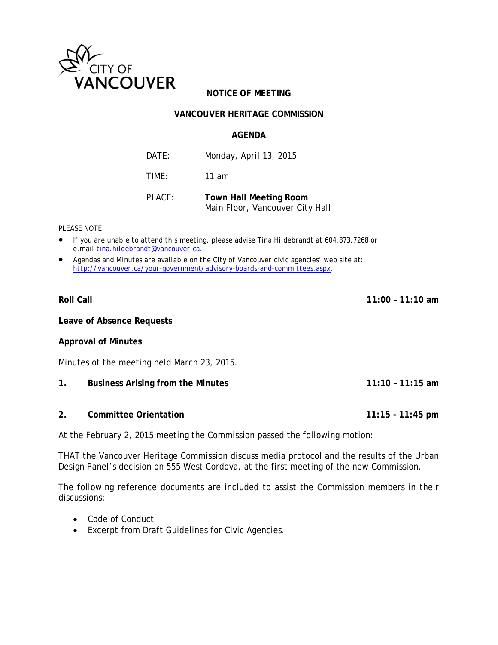

# **NOTICE OF MEETING**

# **VANCOUVER HERITAGE COMMISSION**

# **AGENDA**

DATE: Monday, April 13, 2015 TIME: 11 am

PLACE: **Town Hall Meeting Room**  Main Floor, Vancouver City Hall

*PLEASE NOTE:* 

- *If you are unable to attend this meeting, please advise Tina Hildebrandt at 604.873.7268 or e.mail tina.hildebrandt@vancouver.ca*.
- *Agendas and Minutes are available on the City of Vancouver civic agencies' web site at: http://vancouver.ca/your-government/advisory-boards-and-committees.aspx*.

**Leave of Absence Requests** 

# **Approval of Minutes**

Minutes of the meeting held March 23, 2015.

- **1. Business Arising from the Minutes 11:10 11:15 am**
- **2. Committee Orientation 11:15 11:45 pm**

At the February 2, 2015 meeting the Commission passed the following motion:

THAT the Vancouver Heritage Commission discuss media protocol and the results of the Urban Design Panel's decision on 555 West Cordova, at the first meeting of the new Commission.

The following reference documents are included to assist the Commission members in their discussions:

- Code of Conduct
- Excerpt from Draft Guidelines for Civic Agencies.

**Roll Call 11:00 – 11:10 am**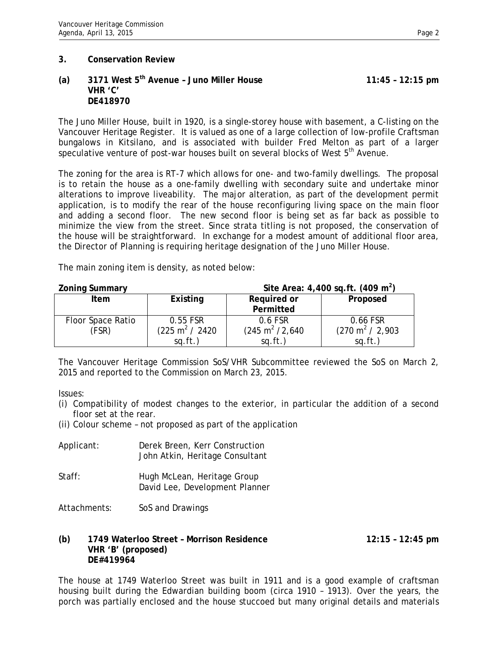## **(a) 3171 West 5th Avenue – Juno Miller House 11:45 – 12:15 pm VHR 'C' DE418970**

The Juno Miller House, built in 1920, is a single-storey house with basement, a C-listing on the Vancouver Heritage Register. It is valued as one of a large collection of low-profile Craftsman bungalows in Kitsilano, and is associated with builder Fred Melton as part of a larger speculative venture of post-war houses built on several blocks of West 5<sup>th</sup> Avenue.

The zoning for the area is RT-7 which allows for one- and two-family dwellings. The proposal is to retain the house as a one-family dwelling with secondary suite and undertake minor alterations to improve liveability. The major alteration, as part of the development permit application, is to modify the rear of the house reconfiguring living space on the main floor and adding a second floor. The new second floor is being set as far back as possible to minimize the view from the street. Since strata titling is not proposed, the conservation of the house will be straightforward. In exchange for a modest amount of additional floor area, the Director of Planning is requiring heritage designation of the Juno Miller House.

The main zoning item is density, as noted below:

| <b>Zoning Summary</b> | Site Area: $4,400$ sq.ft. (409 m <sup>2</sup> ) |                            |                            |
|-----------------------|-------------------------------------------------|----------------------------|----------------------------|
| <b>Item</b>           | Existing                                        | Required or                | Proposed                   |
|                       |                                                 | Permitted                  |                            |
| Floor Space Ratio     | 0.55 FSR                                        | 0.6 FSR                    | 0.66 FSR                   |
| (FSR)                 | $(225 \text{ m}^2 / 2420$                       | $(245 \text{ m}^2 / 2,640$ | $(270 \text{ m}^2 / 2,903$ |
|                       | $sq.fit.$ )                                     | $sq.fit.$ )                | sq.fit.                    |

The Vancouver Heritage Commission SoS/VHR Subcommittee reviewed the SoS on March 2, 2015 and reported to the Commission on March 23, 2015.

Issues:

- (i) Compatibility of modest changes to the exterior, in particular the addition of a second floor set at the rear.
- (ii) Colour scheme not proposed as part of the application

| Applicant: | Derek Breen, Kerr Construction<br>John Atkin, Heritage Consultant |
|------------|-------------------------------------------------------------------|
| Staff:     | Hugh McLean, Heritage Group<br>David Lee, Development Planner     |

Attachments: SoS and Drawings

# **(b) 1749 Waterloo Street – Morrison Residence 12:15 – 12:45 pm VHR 'B' (proposed) DE#419964**

The house at 1749 Waterloo Street was built in 1911 and is a good example of craftsman housing built during the Edwardian building boom (circa 1910 – 1913). Over the years, the porch was partially enclosed and the house stuccoed but many original details and materials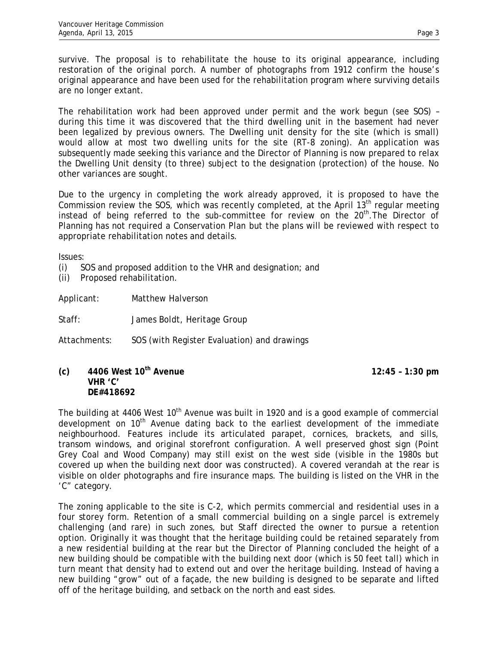survive. The proposal is to rehabilitate the house to its original appearance, including restoration of the original porch. A number of photographs from 1912 confirm the house's original appearance and have been used for the rehabilitation program where surviving details are no longer extant.

The rehabilitation work had been approved under permit and the work begun (see SOS) – during this time it was discovered that the third dwelling unit in the basement had never been legalized by previous owners. The Dwelling unit density for the site (which is small) would allow at most two dwelling units for the site (RT-8 zoning). An application was subsequently made seeking this variance and the Director of Planning is now prepared to relax the Dwelling Unit density (to three) subject to the designation (protection) of the house. No other variances are sought.

Due to the urgency in completing the work already approved, it is proposed to have the Commission review the SOS, which was recently completed, at the April  $13<sup>th</sup>$  regular meeting instead of being referred to the sub-committee for review on the  $20<sup>th</sup>$ . The Director of Planning has not required a Conservation Plan but the plans will be reviewed with respect to appropriate rehabilitation notes and details.

Issues:

- (i) SOS and proposed addition to the VHR and designation; and
- (ii) Proposed rehabilitation.

Applicant: Matthew Halverson

- Staff: James Boldt, Heritage Group
- Attachments: SOS (with Register Evaluation) and drawings
- **(c) 4406 West 10th Avenue 12:45 1:30 pm VHR 'C' DE#418692**

The building at 4406 West  $10<sup>th</sup>$  Avenue was built in 1920 and is a good example of commercial development on 10<sup>th</sup> Avenue dating back to the earliest development of the immediate neighbourhood. Features include its articulated parapet, cornices, brackets, and sills, transom windows, and original storefront configuration. A well preserved ghost sign (Point Grey Coal and Wood Company) may still exist on the west side (visible in the 1980s but covered up when the building next door was constructed). A covered verandah at the rear is visible on older photographs and fire insurance maps. The building is listed on the VHR in the 'C" category.

The zoning applicable to the site is C-2, which permits commercial and residential uses in a four storey form. Retention of a small commercial building on a single parcel is extremely challenging (and rare) in such zones, but Staff directed the owner to pursue a retention option. Originally it was thought that the heritage building could be retained separately from a new residential building at the rear but the Director of Planning concluded the height of a new building should be compatible with the building next door (which is 50 feet tall) which in turn meant that density had to extend out and over the heritage building. Instead of having a new building "grow" out of a façade, the new building is designed to be separate and lifted off of the heritage building, and setback on the north and east sides.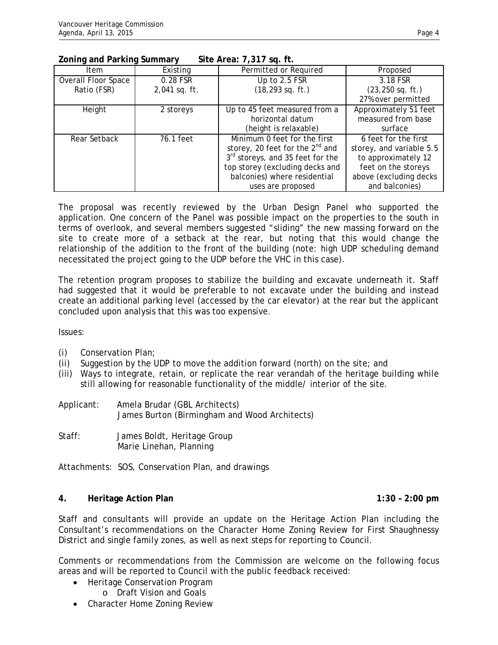## **Zoning and Parking Summary Site Area: 7,317 sq. ft.**

| <b>Item</b>                | Existing      | Permitted or Required                | Proposed                 |
|----------------------------|---------------|--------------------------------------|--------------------------|
| <b>Overall Floor Space</b> | 0.28 FSR      | Up to 2.5 FSR                        | 3.18 FSR                 |
| Ratio (FSR)                | 2,041 sq. ft. | $(18, 293$ sq. ft.)                  | $(23, 250$ sq. ft.)      |
|                            |               |                                      | 27% over permitted       |
| Height                     | 2 storeys     | Up to 45 feet measured from a        | Approximately 51 feet    |
|                            |               | horizontal datum                     | measured from base       |
|                            |               | (height is relaxable)                | surface                  |
| Rear Setback               | 76.1 feet     | Minimum 0 feet for the first         | 6 feet for the first     |
|                            |               | storey, 20 feet for the $2^{nd}$ and | storey, and variable 5.5 |
|                            |               | 3rd storeys, and 35 feet for the     | to approximately 12      |
|                            |               | top storey (excluding decks and      | feet on the storeys      |
|                            |               | balconies) where residential         | above (excluding decks   |
|                            |               | uses are proposed                    | and balconies)           |

The proposal was recently reviewed by the Urban Design Panel who supported the application. One concern of the Panel was possible impact on the properties to the south in terms of overlook, and several members suggested "sliding" the new massing forward on the site to create more of a setback at the rear, but noting that this would change the relationship of the addition to the front of the building (note: high UDP scheduling demand necessitated the project going to the UDP before the VHC in this case).

The retention program proposes to stabilize the building and excavate underneath it. Staff had suggested that it would be preferable to not excavate under the building and instead create an additional parking level (accessed by the car elevator) at the rear but the applicant concluded upon analysis that this was too expensive.

Issues:

- (i) Conservation Plan;
- (ii) Suggestion by the UDP to move the addition forward (north) on the site; and
- (iii) Ways to integrate, retain, or replicate the rear verandah of the heritage building while still allowing for reasonable functionality of the middle/ interior of the site.
- Applicant: Amela Brudar (GBL Architects) James Burton (Birmingham and Wood Architects)
- Staff: James Boldt, Heritage Group Marie Linehan, Planning

Attachments: SOS, Conservation Plan, and drawings

### **4. Heritage Action Plan 1:30 – 2:00 pm**

Staff and consultants will provide an update on the Heritage Action Plan including the Consultant's recommendations on the Character Home Zoning Review for First Shaughnessy District and single family zones, as well as next steps for reporting to Council.

Comments or recommendations from the Commission are welcome on the following focus areas and will be reported to Council with the public feedback received:

- Heritage Conservation Program
	- o Draft Vision and Goals
- Character Home Zoning Review